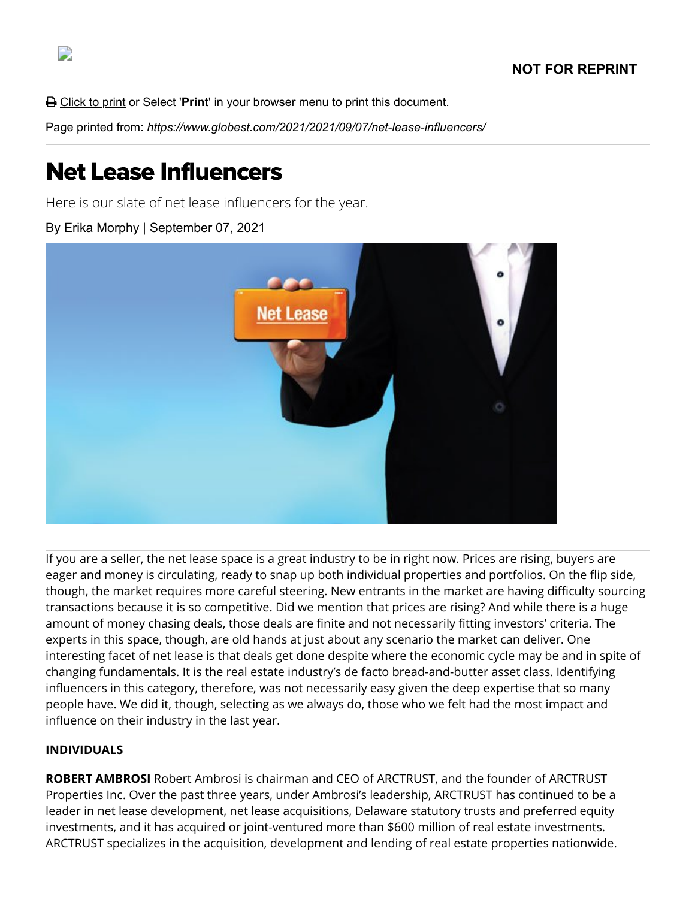**△** Click to print or Select '**Print'** in your browser menu to print this document.

Page printed from: *https://www.globest.com/2021/2021/09/07/net-lease-influencers/*

# Net Lease Influencers

Here is our slate of net lease influencers for the year.

By Erika Morphy | September 07, 2021



If you are a seller, the net lease space is a great industry to be in right now. Prices are rising, buyers are eager and money is circulating, ready to snap up both individual properties and portfolios. On the flip side, though, the market requires more careful steering. New entrants in the market are having difficulty sourcing transactions because it is so competitive. Did we mention that prices are rising? And while there is a huge amount of money chasing deals, those deals are finite and not necessarily fitting investors' criteria. The experts in this space, though, are old hands at just about any scenario the market can deliver. One interesting facet of net lease is that deals get done despite where the economic cycle may be and in spite of changing fundamentals. It is the real estate industry's de facto bread-and-butter asset class. Identifying influencers in this category, therefore, was not necessarily easy given the deep expertise that so many people have. We did it, though, selecting as we always do, those who we felt had the most impact and influence on their industry in the last year.

#### **INDIVIDUALS**

**ROBERT AMBROSI** Robert Ambrosi is chairman and CEO of ARCTRUST, and the founder of ARCTRUST Properties Inc. Over the past three years, under Ambrosi's leadership, ARCTRUST has continued to be a leader in net lease development, net lease acquisitions, Delaware statutory trusts and preferred equity investments, and it has acquired or joint-ventured more than \$600 million of real estate investments. ARCTRUST specializes in the acquisition, development and lending of real estate properties nationwide.

D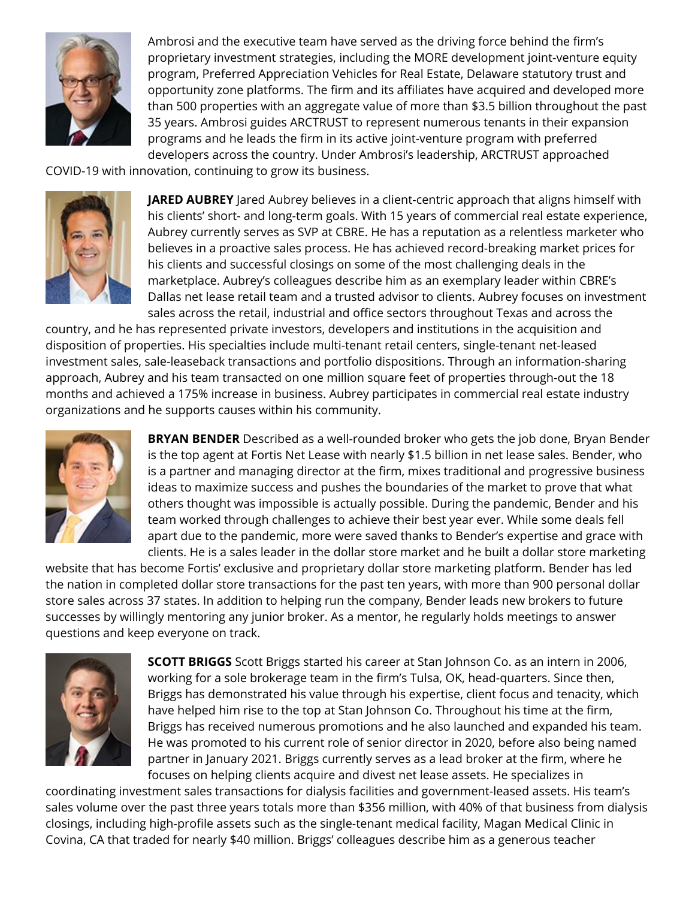

Ambrosi and the executive team have served as the driving force behind the firm's proprietary investment strategies, including the MORE development joint-venture equity program, Preferred Appreciation Vehicles for Real Estate, Delaware statutory trust and opportunity zone platforms. The firm and its affiliates have acquired and developed more than 500 properties with an aggregate value of more than \$3.5 billion throughout the past 35 years. Ambrosi guides ARCTRUST to represent numerous tenants in their expansion programs and he leads the firm in its active joint-venture program with preferred developers across the country. Under Ambrosi's leadership, ARCTRUST approached

COVID-19 with innovation, continuing to grow its business.



**JARED AUBREY** Jared Aubrey believes in a client-centric approach that aligns himself with his clients' short- and long-term goals. With 15 years of commercial real estate experience, Aubrey currently serves as SVP at CBRE. He has a reputation as a relentless marketer who believes in a proactive sales process. He has achieved record-breaking market prices for his clients and successful closings on some of the most challenging deals in the marketplace. Aubrey's colleagues describe him as an exemplary leader within CBRE's Dallas net lease retail team and a trusted advisor to clients. Aubrey focuses on investment sales across the retail, industrial and office sectors throughout Texas and across the

country, and he has represented private investors, developers and institutions in the acquisition and disposition of properties. His specialties include multi-tenant retail centers, single-tenant net-leased investment sales, sale-leaseback transactions and portfolio dispositions. Through an information-sharing approach, Aubrey and his team transacted on one million square feet of properties through-out the 18 months and achieved a 175% increase in business. Aubrey participates in commercial real estate industry organizations and he supports causes within his community.



**BRYAN BENDER** Described as a well-rounded broker who gets the job done, Bryan Bender is the top agent at Fortis Net Lease with nearly \$1.5 billion in net lease sales. Bender, who is a partner and managing director at the firm, mixes traditional and progressive business ideas to maximize success and pushes the boundaries of the market to prove that what others thought was impossible is actually possible. During the pandemic, Bender and his team worked through challenges to achieve their best year ever. While some deals fell apart due to the pandemic, more were saved thanks to Bender's expertise and grace with clients. He is a sales leader in the dollar store market and he built a dollar store marketing

website that has become Fortis' exclusive and proprietary dollar store marketing platform. Bender has led the nation in completed dollar store transactions for the past ten years, with more than 900 personal dollar store sales across 37 states. In addition to helping run the company, Bender leads new brokers to future successes by willingly mentoring any junior broker. As a mentor, he regularly holds meetings to answer questions and keep everyone on track.



**SCOTT BRIGGS** Scott Briggs started his career at Stan Johnson Co. as an intern in 2006, working for a sole brokerage team in the firm's Tulsa, OK, head-quarters. Since then, Briggs has demonstrated his value through his expertise, client focus and tenacity, which have helped him rise to the top at Stan Johnson Co. Throughout his time at the firm, Briggs has received numerous promotions and he also launched and expanded his team. He was promoted to his current role of senior director in 2020, before also being named partner in January 2021. Briggs currently serves as a lead broker at the firm, where he focuses on helping clients acquire and divest net lease assets. He specializes in

coordinating investment sales transactions for dialysis facilities and government-leased assets. His team's sales volume over the past three years totals more than \$356 million, with 40% of that business from dialysis closings, including high-profile assets such as the single-tenant medical facility, Magan Medical Clinic in Covina, CA that traded for nearly \$40 million. Briggs' colleagues describe him as a generous teacher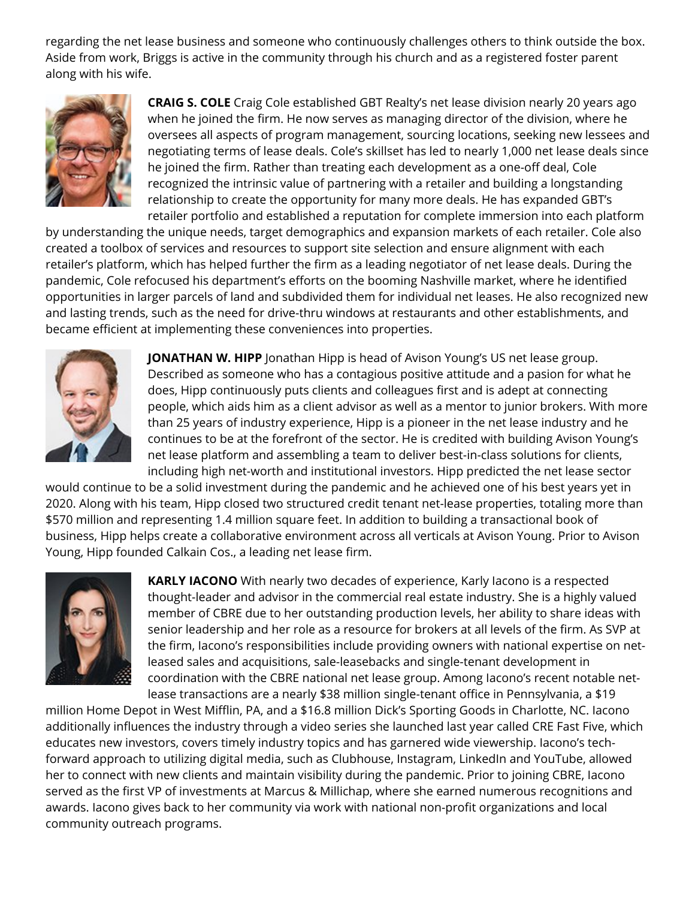regarding the net lease business and someone who continuously challenges others to think outside the box. Aside from work, Briggs is active in the community through his church and as a registered foster parent along with his wife.



**CRAIG S. COLE** Craig Cole established GBT Realty's net lease division nearly 20 years ago when he joined the firm. He now serves as managing director of the division, where he oversees all aspects of program management, sourcing locations, seeking new lessees and negotiating terms of lease deals. Cole's skillset has led to nearly 1,000 net lease deals since he joined the firm. Rather than treating each development as a one-off deal, Cole recognized the intrinsic value of partnering with a retailer and building a longstanding relationship to create the opportunity for many more deals. He has expanded GBT's retailer portfolio and established a reputation for complete immersion into each platform

by understanding the unique needs, target demographics and expansion markets of each retailer. Cole also created a toolbox of services and resources to support site selection and ensure alignment with each retailer's platform, which has helped further the firm as a leading negotiator of net lease deals. During the pandemic, Cole refocused his department's efforts on the booming Nashville market, where he identified opportunities in larger parcels of land and subdivided them for individual net leases. He also recognized new and lasting trends, such as the need for drive-thru windows at restaurants and other establishments, and became efficient at implementing these conveniences into properties.



**JONATHAN W. HIPP** Jonathan Hipp is head of Avison Young's US net lease group. Described as someone who has a contagious positive attitude and a pasion for what he does, Hipp continuously puts clients and colleagues first and is adept at connecting people, which aids him as a client advisor as well as a mentor to junior brokers. With more than 25 years of industry experience, Hipp is a pioneer in the net lease industry and he continues to be at the forefront of the sector. He is credited with building Avison Young's net lease platform and assembling a team to deliver best-in-class solutions for clients, including high net-worth and institutional investors. Hipp predicted the net lease sector

would continue to be a solid investment during the pandemic and he achieved one of his best years yet in 2020. Along with his team, Hipp closed two structured credit tenant net-lease properties, totaling more than \$570 million and representing 1.4 million square feet. In addition to building a transactional book of business, Hipp helps create a collaborative environment across all verticals at Avison Young. Prior to Avison Young, Hipp founded Calkain Cos., a leading net lease firm.



**KARLY IACONO** With nearly two decades of experience, Karly Iacono is a respected thought-leader and advisor in the commercial real estate industry. She is a highly valued member of CBRE due to her outstanding production levels, her ability to share ideas with senior leadership and her role as a resource for brokers at all levels of the firm. As SVP at the firm, Iacono's responsibilities include providing owners with national expertise on netleased sales and acquisitions, sale-leasebacks and single-tenant development in coordination with the CBRE national net lease group. Among Iacono's recent notable netlease transactions are a nearly \$38 million single-tenant office in Pennsylvania, a \$19

million Home Depot in West Mifflin, PA, and a \$16.8 million Dick's Sporting Goods in Charlotte, NC. Iacono additionally influences the industry through a video series she launched last year called CRE Fast Five, which educates new investors, covers timely industry topics and has garnered wide viewership. Iacono's techforward approach to utilizing digital media, such as Clubhouse, Instagram, LinkedIn and YouTube, allowed her to connect with new clients and maintain visibility during the pandemic. Prior to joining CBRE, Iacono served as the first VP of investments at Marcus & Millichap, where she earned numerous recognitions and awards. Iacono gives back to her community via work with national non-profit organizations and local community outreach programs.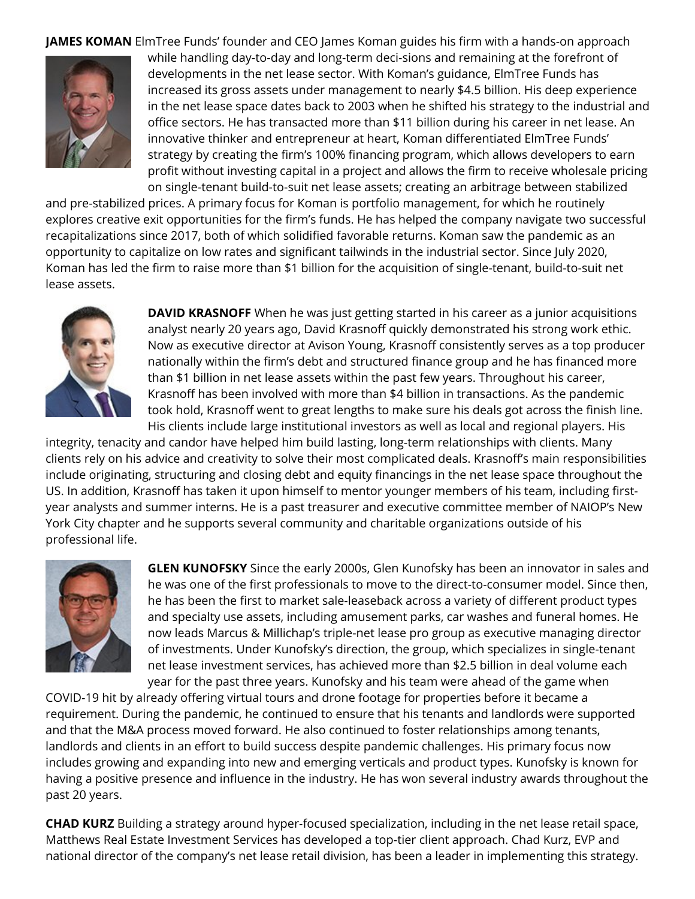**JAMES KOMAN** ElmTree Funds' founder and CEO James Koman guides his firm with a hands-on approach



while handling day-to-day and long-term deci-sions and remaining at the forefront of developments in the net lease sector. With Koman's guidance, ElmTree Funds has increased its gross assets under management to nearly \$4.5 billion. His deep experience in the net lease space dates back to 2003 when he shifted his strategy to the industrial and office sectors. He has transacted more than \$11 billion during his career in net lease. An innovative thinker and entrepreneur at heart, Koman differentiated ElmTree Funds' strategy by creating the firm's 100% financing program, which allows developers to earn profit without investing capital in a project and allows the firm to receive wholesale pricing on single-tenant build-to-suit net lease assets; creating an arbitrage between stabilized

and pre-stabilized prices. A primary focus for Koman is portfolio management, for which he routinely explores creative exit opportunities for the firm's funds. He has helped the company navigate two successful recapitalizations since 2017, both of which solidified favorable returns. Koman saw the pandemic as an opportunity to capitalize on low rates and significant tailwinds in the industrial sector. Since July 2020, Koman has led the firm to raise more than \$1 billion for the acquisition of single-tenant, build-to-suit net lease assets.



**DAVID KRASNOFF** When he was just getting started in his career as a junior acquisitions analyst nearly 20 years ago, David Krasnoff quickly demonstrated his strong work ethic. Now as executive director at Avison Young, Krasnoff consistently serves as a top producer nationally within the firm's debt and structured finance group and he has financed more than \$1 billion in net lease assets within the past few years. Throughout his career, Krasnoff has been involved with more than \$4 billion in transactions. As the pandemic took hold, Krasnoff went to great lengths to make sure his deals got across the finish line. His clients include large institutional investors as well as local and regional players. His

integrity, tenacity and candor have helped him build lasting, long-term relationships with clients. Many clients rely on his advice and creativity to solve their most complicated deals. Krasnoff's main responsibilities include originating, structuring and closing debt and equity financings in the net lease space throughout the US. In addition, Krasnoff has taken it upon himself to mentor younger members of his team, including firstyear analysts and summer interns. He is a past treasurer and executive committee member of NAIOP's New York City chapter and he supports several community and charitable organizations outside of his professional life.



**GLEN KUNOFSKY** Since the early 2000s, Glen Kunofsky has been an innovator in sales and he was one of the first professionals to move to the direct-to-consumer model. Since then, he has been the first to market sale-leaseback across a variety of different product types and specialty use assets, including amusement parks, car washes and funeral homes. He now leads Marcus & Millichap's triple-net lease pro group as executive managing director of investments. Under Kunofsky's direction, the group, which specializes in single-tenant net lease investment services, has achieved more than \$2.5 billion in deal volume each year for the past three years. Kunofsky and his team were ahead of the game when

COVID-19 hit by already offering virtual tours and drone footage for properties before it became a requirement. During the pandemic, he continued to ensure that his tenants and landlords were supported and that the M&A process moved forward. He also continued to foster relationships among tenants, landlords and clients in an effort to build success despite pandemic challenges. His primary focus now includes growing and expanding into new and emerging verticals and product types. Kunofsky is known for having a positive presence and influence in the industry. He has won several industry awards throughout the past 20 years.

**CHAD KURZ** Building a strategy around hyper-focused specialization, including in the net lease retail space, Matthews Real Estate Investment Services has developed a top-tier client approach. Chad Kurz, EVP and national director of the company's net lease retail division, has been a leader in implementing this strategy.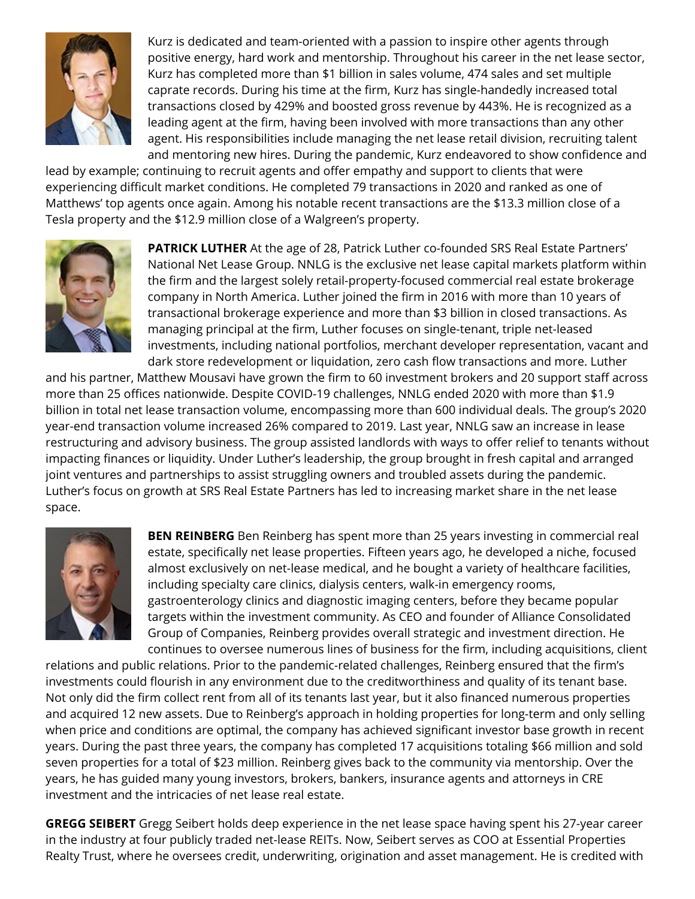

Kurz is dedicated and team-oriented with a passion to inspire other agents through positive energy, hard work and mentorship. Throughout his career in the net lease sector, Kurz has completed more than \$1 billion in sales volume, 474 sales and set multiple caprate records. During his time at the firm, Kurz has single-handedly increased total transactions closed by 429% and boosted gross revenue by 443%. He is recognized as a leading agent at the firm, having been involved with more transactions than any other agent. His responsibilities include managing the net lease retail division, recruiting talent and mentoring new hires. During the pandemic, Kurz endeavored to show confidence and

lead by example; continuing to recruit agents and offer empathy and support to clients that were experiencing difficult market conditions. He completed 79 transactions in 2020 and ranked as one of Matthews' top agents once again. Among his notable recent transactions are the \$13.3 million close of a Tesla property and the \$12.9 million close of a Walgreen's property.



**PATRICK LUTHER** At the age of 28, Patrick Luther co-founded SRS Real Estate Partners' National Net Lease Group. NNLG is the exclusive net lease capital markets platform within the firm and the largest solely retail-property-focused commercial real estate brokerage company in North America. Luther joined the firm in 2016 with more than 10 years of transactional brokerage experience and more than \$3 billion in closed transactions. As managing principal at the firm, Luther focuses on single-tenant, triple net-leased investments, including national portfolios, merchant developer representation, vacant and dark store redevelopment or liquidation, zero cash flow transactions and more. Luther

and his partner, Matthew Mousavi have grown the firm to 60 investment brokers and 20 support staff across more than 25 offices nationwide. Despite COVID-19 challenges, NNLG ended 2020 with more than \$1.9 billion in total net lease transaction volume, encompassing more than 600 individual deals. The group's 2020 year-end transaction volume increased 26% compared to 2019. Last year, NNLG saw an increase in lease restructuring and advisory business. The group assisted landlords with ways to offer relief to tenants without impacting finances or liquidity. Under Luther's leadership, the group brought in fresh capital and arranged joint ventures and partnerships to assist struggling owners and troubled assets during the pandemic. Luther's focus on growth at SRS Real Estate Partners has led to increasing market share in the net lease space.



**BEN REINBERG** Ben Reinberg has spent more than 25 years investing in commercial real estate, specifically net lease properties. Fifteen years ago, he developed a niche, focused almost exclusively on net-lease medical, and he bought a variety of healthcare facilities, including specialty care clinics, dialysis centers, walk-in emergency rooms, gastroenterology clinics and diagnostic imaging centers, before they became popular targets within the investment community. As CEO and founder of Alliance Consolidated Group of Companies, Reinberg provides overall strategic and investment direction. He continues to oversee numerous lines of business for the firm, including acquisitions, client

relations and public relations. Prior to the pandemic-related challenges, Reinberg ensured that the firm's investments could flourish in any environment due to the creditworthiness and quality of its tenant base. Not only did the firm collect rent from all of its tenants last year, but it also financed numerous properties and acquired 12 new assets. Due to Reinberg's approach in holding properties for long-term and only selling when price and conditions are optimal, the company has achieved significant investor base growth in recent years. During the past three years, the company has completed 17 acquisitions totaling \$66 million and sold seven properties for a total of \$23 million. Reinberg gives back to the community via mentorship. Over the years, he has guided many young investors, brokers, bankers, insurance agents and attorneys in CRE investment and the intricacies of net lease real estate.

**GREGG SEIBERT** Gregg Seibert holds deep experience in the net lease space having spent his 27-year career in the industry at four publicly traded net-lease REITs. Now, Seibert serves as COO at Essential Properties Realty Trust, where he oversees credit, underwriting, origination and asset management. He is credited with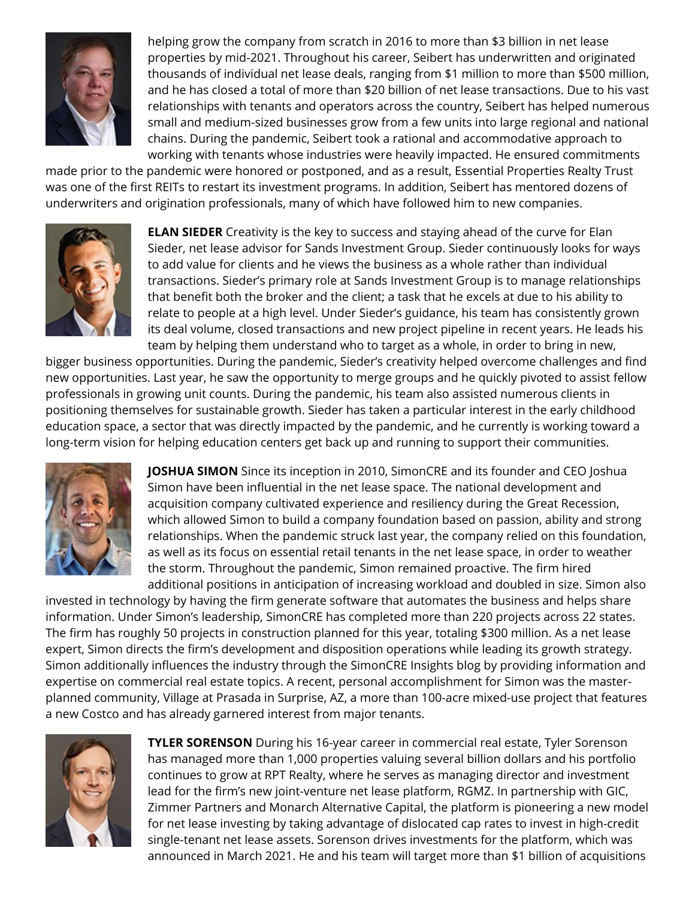

helping grow the company from scratch in 2016 to more than \$3 billion in net lease properties by mid-2021. Throughout his career, Seibert has underwritten and originated thousands of individual net lease deals, ranging from \$1 million to more than \$500 million, and he has closed a total of more than \$20 billion of net lease transactions. Due to his vast relationships with tenants and operators across the country, Seibert has helped numerous small and medium-sized businesses grow from a few units into large regional and national chains. During the pandemic, Seibert took a rational and accommodative approach to working with tenants whose industries were heavily impacted. He ensured commitments

made prior to the pandemic were honored or postponed, and as a result, Essential Properties Realty Trust was one of the first REITs to restart its investment programs. In addition, Seibert has mentored dozens of underwriters and origination professionals, many of which have followed him to new companies.



**ELAN SIEDER** Creativity is the key to success and staying ahead of the curve for Elan Sieder, net lease advisor for Sands Investment Group. Sieder continuously looks for ways to add value for clients and he views the business as a whole rather than individual transactions. Sieder's primary role at Sands Investment Group is to manage relationships that benefit both the broker and the client; a task that he excels at due to his ability to relate to people at a high level. Under Sieder's guidance, his team has consistently grown its deal volume, closed transactions and new project pipeline in recent years. He leads his team by helping them understand who to target as a whole, in order to bring in new,

bigger business opportunities. During the pandemic, Sieder's creativity helped overcome challenges and find new opportunities. Last year, he saw the opportunity to merge groups and he quickly pivoted to assist fellow professionals in growing unit counts. During the pandemic, his team also assisted numerous clients in positioning themselves for sustainable growth. Sieder has taken a particular interest in the early childhood education space, a sector that was directly impacted by the pandemic, and he currently is working toward a long-term vision for helping education centers get back up and running to support their communities.



**JOSHUA SIMON** Since its inception in 2010, SimonCRE and its founder and CEO Joshua Simon have been influential in the net lease space. The national development and acquisition company cultivated experience and resiliency during the Great Recession, which allowed Simon to build a company foundation based on passion, ability and strong relationships. When the pandemic struck last year, the company relied on this foundation, as well as its focus on essential retail tenants in the net lease space, in order to weather the storm. Throughout the pandemic, Simon remained proactive. The firm hired additional positions in anticipation of increasing workload and doubled in size. Simon also

invested in technology by having the firm generate software that automates the business and helps share information. Under Simon's leadership, SimonCRE has completed more than 220 projects across 22 states. The firm has roughly 50 projects in construction planned for this year, totaling \$300 million. As a net lease expert, Simon directs the firm's development and disposition operations while leading its growth strategy. Simon additionally influences the industry through the SimonCRE Insights blog by providing information and expertise on commercial real estate topics. A recent, personal accomplishment for Simon was the masterplanned community, Village at Prasada in Surprise, AZ, a more than 100-acre mixed-use project that features a new Costco and has already garnered interest from major tenants.



**TYLER SORENSON** During his 16-year career in commercial real estate, Tyler Sorenson has managed more than 1,000 properties valuing several billion dollars and his portfolio continues to grow at RPT Realty, where he serves as managing director and investment lead for the firm's new joint-venture net lease platform, RGMZ. In partnership with GIC, Zimmer Partners and Monarch Alternative Capital, the platform is pioneering a new model for net lease investing by taking advantage of dislocated cap rates to invest in high-credit single-tenant net lease assets. Sorenson drives investments for the platform, which was announced in March 2021. He and his team will target more than \$1 billion of acquisitions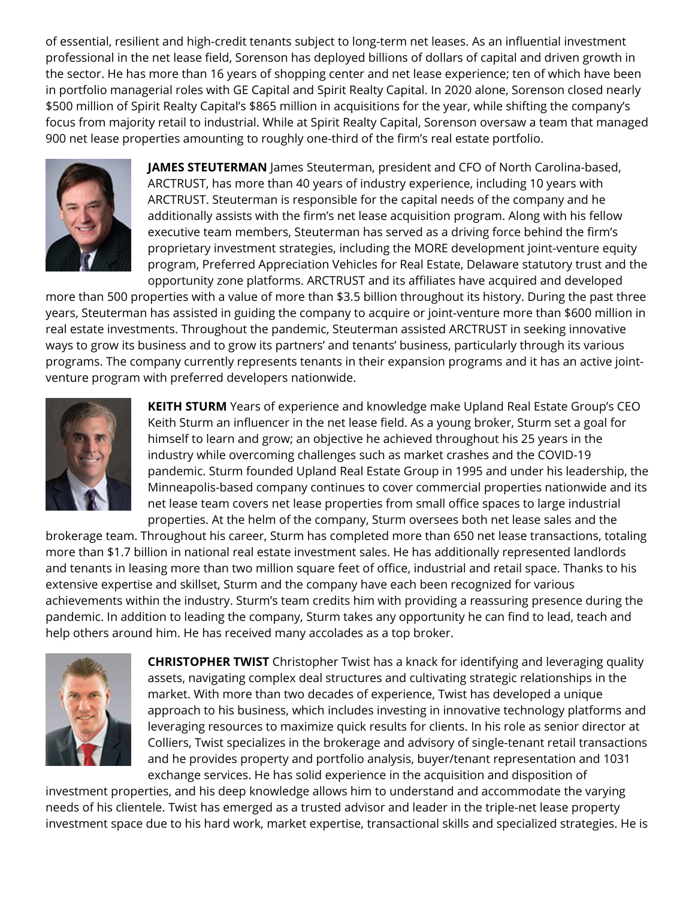of essential, resilient and high-credit tenants subject to long-term net leases. As an influential investment professional in the net lease field, Sorenson has deployed billions of dollars of capital and driven growth in the sector. He has more than 16 years of shopping center and net lease experience; ten of which have been in portfolio managerial roles with GE Capital and Spirit Realty Capital. In 2020 alone, Sorenson closed nearly \$500 million of Spirit Realty Capital's \$865 million in acquisitions for the year, while shifting the company's focus from majority retail to industrial. While at Spirit Realty Capital, Sorenson oversaw a team that managed 900 net lease properties amounting to roughly one-third of the firm's real estate portfolio.



**JAMES STEUTERMAN** James Steuterman, president and CFO of North Carolina-based, ARCTRUST, has more than 40 years of industry experience, including 10 years with ARCTRUST. Steuterman is responsible for the capital needs of the company and he additionally assists with the firm's net lease acquisition program. Along with his fellow executive team members, Steuterman has served as a driving force behind the firm's proprietary investment strategies, including the MORE development joint-venture equity program, Preferred Appreciation Vehicles for Real Estate, Delaware statutory trust and the opportunity zone platforms. ARCTRUST and its affiliates have acquired and developed

more than 500 properties with a value of more than \$3.5 billion throughout its history. During the past three years, Steuterman has assisted in guiding the company to acquire or joint-venture more than \$600 million in real estate investments. Throughout the pandemic, Steuterman assisted ARCTRUST in seeking innovative ways to grow its business and to grow its partners' and tenants' business, particularly through its various programs. The company currently represents tenants in their expansion programs and it has an active jointventure program with preferred developers nationwide.



**KEITH STURM** Years of experience and knowledge make Upland Real Estate Group's CEO Keith Sturm an influencer in the net lease field. As a young broker, Sturm set a goal for himself to learn and grow; an objective he achieved throughout his 25 years in the industry while overcoming challenges such as market crashes and the COVID-19 pandemic. Sturm founded Upland Real Estate Group in 1995 and under his leadership, the Minneapolis-based company continues to cover commercial properties nationwide and its net lease team covers net lease properties from small office spaces to large industrial properties. At the helm of the company, Sturm oversees both net lease sales and the

brokerage team. Throughout his career, Sturm has completed more than 650 net lease transactions, totaling more than \$1.7 billion in national real estate investment sales. He has additionally represented landlords and tenants in leasing more than two million square feet of office, industrial and retail space. Thanks to his extensive expertise and skillset, Sturm and the company have each been recognized for various achievements within the industry. Sturm's team credits him with providing a reassuring presence during the pandemic. In addition to leading the company, Sturm takes any opportunity he can find to lead, teach and help others around him. He has received many accolades as a top broker.



**CHRISTOPHER TWIST** Christopher Twist has a knack for identifying and leveraging quality assets, navigating complex deal structures and cultivating strategic relationships in the market. With more than two decades of experience, Twist has developed a unique approach to his business, which includes investing in innovative technology platforms and leveraging resources to maximize quick results for clients. In his role as senior director at Colliers, Twist specializes in the brokerage and advisory of single-tenant retail transactions and he provides property and portfolio analysis, buyer/tenant representation and 1031 exchange services. He has solid experience in the acquisition and disposition of

investment properties, and his deep knowledge allows him to understand and accommodate the varying needs of his clientele. Twist has emerged as a trusted advisor and leader in the triple-net lease property investment space due to his hard work, market expertise, transactional skills and specialized strategies. He is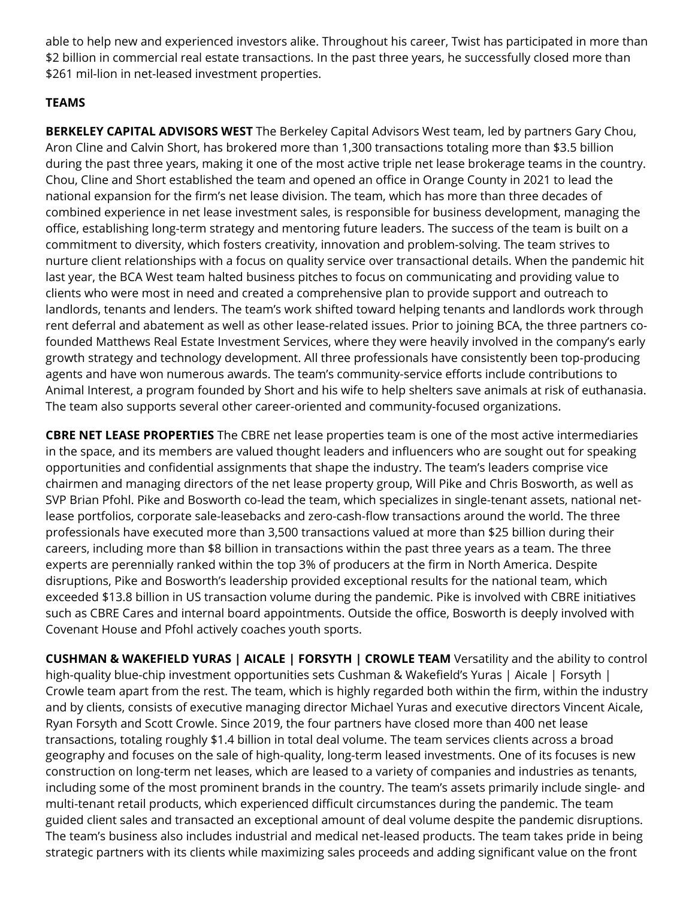able to help new and experienced investors alike. Throughout his career, Twist has participated in more than \$2 billion in commercial real estate transactions. In the past three years, he successfully closed more than \$261 mil-lion in net-leased investment properties.

# **TEAMS**

**BERKELEY CAPITAL ADVISORS WEST** The Berkeley Capital Advisors West team, led by partners Gary Chou, Aron Cline and Calvin Short, has brokered more than 1,300 transactions totaling more than \$3.5 billion during the past three years, making it one of the most active triple net lease brokerage teams in the country. Chou, Cline and Short established the team and opened an office in Orange County in 2021 to lead the national expansion for the firm's net lease division. The team, which has more than three decades of combined experience in net lease investment sales, is responsible for business development, managing the office, establishing long-term strategy and mentoring future leaders. The success of the team is built on a commitment to diversity, which fosters creativity, innovation and problem-solving. The team strives to nurture client relationships with a focus on quality service over transactional details. When the pandemic hit last year, the BCA West team halted business pitches to focus on communicating and providing value to clients who were most in need and created a comprehensive plan to provide support and outreach to landlords, tenants and lenders. The team's work shifted toward helping tenants and landlords work through rent deferral and abatement as well as other lease-related issues. Prior to joining BCA, the three partners cofounded Matthews Real Estate Investment Services, where they were heavily involved in the company's early growth strategy and technology development. All three professionals have consistently been top-producing agents and have won numerous awards. The team's community-service efforts include contributions to Animal Interest, a program founded by Short and his wife to help shelters save animals at risk of euthanasia. The team also supports several other career-oriented and community-focused organizations.

**CBRE NET LEASE PROPERTIES** The CBRE net lease properties team is one of the most active intermediaries in the space, and its members are valued thought leaders and influencers who are sought out for speaking opportunities and confidential assignments that shape the industry. The team's leaders comprise vice chairmen and managing directors of the net lease property group, Will Pike and Chris Bosworth, as well as SVP Brian Pfohl. Pike and Bosworth co-lead the team, which specializes in single-tenant assets, national netlease portfolios, corporate sale-leasebacks and zero-cash-flow transactions around the world. The three professionals have executed more than 3,500 transactions valued at more than \$25 billion during their careers, including more than \$8 billion in transactions within the past three years as a team. The three experts are perennially ranked within the top 3% of producers at the firm in North America. Despite disruptions, Pike and Bosworth's leadership provided exceptional results for the national team, which exceeded \$13.8 billion in US transaction volume during the pandemic. Pike is involved with CBRE initiatives such as CBRE Cares and internal board appointments. Outside the office, Bosworth is deeply involved with Covenant House and Pfohl actively coaches youth sports.

**CUSHMAN & WAKEFIELD YURAS | AICALE | FORSYTH | CROWLE TEAM** Versatility and the ability to control high-quality blue-chip investment opportunities sets Cushman & Wakefield's Yuras | Aicale | Forsyth | Crowle team apart from the rest. The team, which is highly regarded both within the firm, within the industry and by clients, consists of executive managing director Michael Yuras and executive directors Vincent Aicale, Ryan Forsyth and Scott Crowle. Since 2019, the four partners have closed more than 400 net lease transactions, totaling roughly \$1.4 billion in total deal volume. The team services clients across a broad geography and focuses on the sale of high-quality, long-term leased investments. One of its focuses is new construction on long-term net leases, which are leased to a variety of companies and industries as tenants, including some of the most prominent brands in the country. The team's assets primarily include single- and multi-tenant retail products, which experienced difficult circumstances during the pandemic. The team guided client sales and transacted an exceptional amount of deal volume despite the pandemic disruptions. The team's business also includes industrial and medical net-leased products. The team takes pride in being strategic partners with its clients while maximizing sales proceeds and adding significant value on the front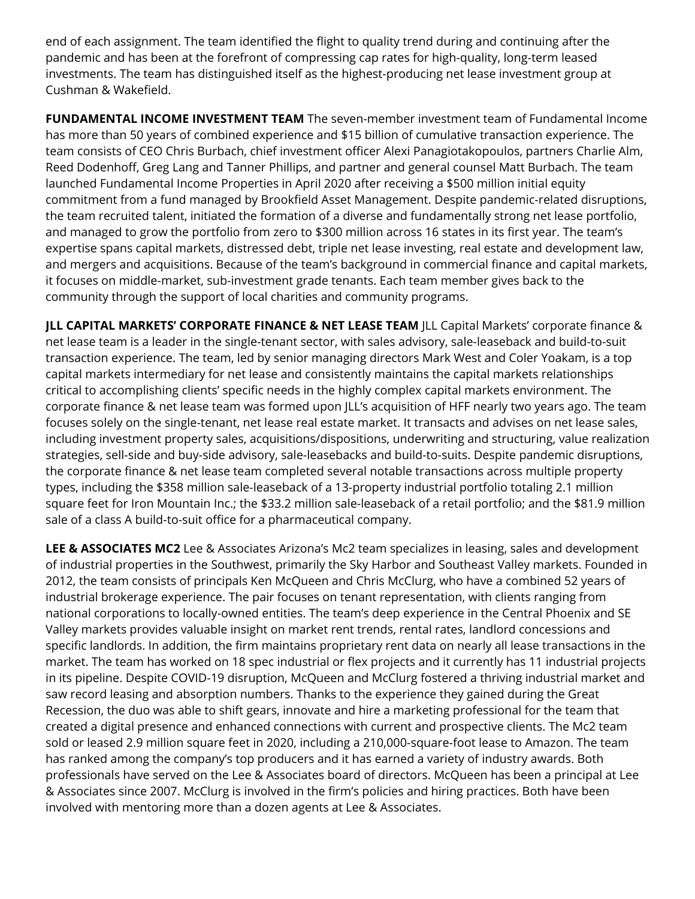end of each assignment. The team identified the flight to quality trend during and continuing after the pandemic and has been at the forefront of compressing cap rates for high-quality, long-term leased investments. The team has distinguished itself as the highest-producing net lease investment group at Cushman & Wakefield.

**FUNDAMENTAL INCOME INVESTMENT TEAM** The seven-member investment team of Fundamental Income has more than 50 years of combined experience and \$15 billion of cumulative transaction experience. The team consists of CEO Chris Burbach, chief investment officer Alexi Panagiotakopoulos, partners Charlie Alm, Reed Dodenhoff, Greg Lang and Tanner Phillips, and partner and general counsel Matt Burbach. The team launched Fundamental Income Properties in April 2020 after receiving a \$500 million initial equity commitment from a fund managed by Brookfield Asset Management. Despite pandemic-related disruptions, the team recruited talent, initiated the formation of a diverse and fundamentally strong net lease portfolio, and managed to grow the portfolio from zero to \$300 million across 16 states in its first year. The team's expertise spans capital markets, distressed debt, triple net lease investing, real estate and development law, and mergers and acquisitions. Because of the team's background in commercial finance and capital markets, it focuses on middle-market, sub-investment grade tenants. Each team member gives back to the community through the support of local charities and community programs.

**JLL CAPITAL MARKETS' CORPORATE FINANCE & NET LEASE TEAM** JLL Capital Markets' corporate finance & net lease team is a leader in the single-tenant sector, with sales advisory, sale-leaseback and build-to-suit transaction experience. The team, led by senior managing directors Mark West and Coler Yoakam, is a top capital markets intermediary for net lease and consistently maintains the capital markets relationships critical to accomplishing clients' specific needs in the highly complex capital markets environment. The corporate finance & net lease team was formed upon JLL's acquisition of HFF nearly two years ago. The team focuses solely on the single-tenant, net lease real estate market. It transacts and advises on net lease sales, including investment property sales, acquisitions/dispositions, underwriting and structuring, value realization strategies, sell-side and buy-side advisory, sale-leasebacks and build-to-suits. Despite pandemic disruptions, the corporate finance & net lease team completed several notable transactions across multiple property types, including the \$358 million sale-leaseback of a 13-property industrial portfolio totaling 2.1 million square feet for Iron Mountain Inc.; the \$33.2 million sale-leaseback of a retail portfolio; and the \$81.9 million sale of a class A build-to-suit office for a pharmaceutical company.

**LEE & ASSOCIATES MC2** Lee & Associates Arizona's Mc2 team specializes in leasing, sales and development of industrial properties in the Southwest, primarily the Sky Harbor and Southeast Valley markets. Founded in 2012, the team consists of principals Ken McQueen and Chris McClurg, who have a combined 52 years of industrial brokerage experience. The pair focuses on tenant representation, with clients ranging from national corporations to locally-owned entities. The team's deep experience in the Central Phoenix and SE Valley markets provides valuable insight on market rent trends, rental rates, landlord concessions and specific landlords. In addition, the firm maintains proprietary rent data on nearly all lease transactions in the market. The team has worked on 18 spec industrial or flex projects and it currently has 11 industrial projects in its pipeline. Despite COVID-19 disruption, McQueen and McClurg fostered a thriving industrial market and saw record leasing and absorption numbers. Thanks to the experience they gained during the Great Recession, the duo was able to shift gears, innovate and hire a marketing professional for the team that created a digital presence and enhanced connections with current and prospective clients. The Mc2 team sold or leased 2.9 million square feet in 2020, including a 210,000-square-foot lease to Amazon. The team has ranked among the company's top producers and it has earned a variety of industry awards. Both professionals have served on the Lee & Associates board of directors. McQueen has been a principal at Lee & Associates since 2007. McClurg is involved in the firm's policies and hiring practices. Both have been involved with mentoring more than a dozen agents at Lee & Associates.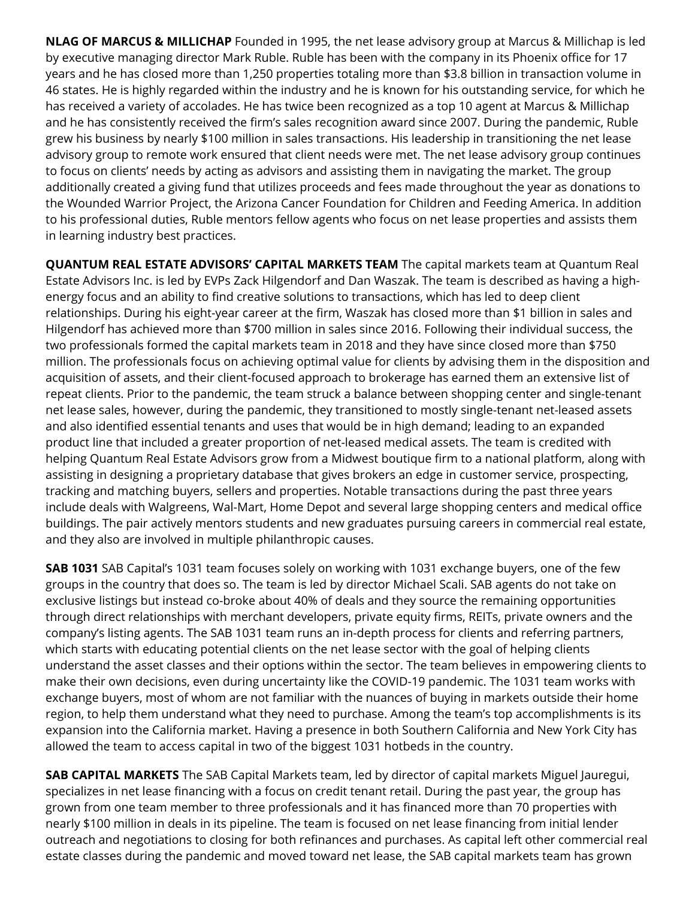**NLAG OF MARCUS & MILLICHAP** Founded in 1995, the net lease advisory group at Marcus & Millichap is led by executive managing director Mark Ruble. Ruble has been with the company in its Phoenix office for 17 years and he has closed more than 1,250 properties totaling more than \$3.8 billion in transaction volume in 46 states. He is highly regarded within the industry and he is known for his outstanding service, for which he has received a variety of accolades. He has twice been recognized as a top 10 agent at Marcus & Millichap and he has consistently received the firm's sales recognition award since 2007. During the pandemic, Ruble grew his business by nearly \$100 million in sales transactions. His leadership in transitioning the net lease advisory group to remote work ensured that client needs were met. The net lease advisory group continues to focus on clients' needs by acting as advisors and assisting them in navigating the market. The group additionally created a giving fund that utilizes proceeds and fees made throughout the year as donations to the Wounded Warrior Project, the Arizona Cancer Foundation for Children and Feeding America. In addition to his professional duties, Ruble mentors fellow agents who focus on net lease properties and assists them in learning industry best practices.

**QUANTUM REAL ESTATE ADVISORS' CAPITAL MARKETS TEAM** The capital markets team at Quantum Real Estate Advisors Inc. is led by EVPs Zack Hilgendorf and Dan Waszak. The team is described as having a highenergy focus and an ability to find creative solutions to transactions, which has led to deep client relationships. During his eight-year career at the firm, Waszak has closed more than \$1 billion in sales and Hilgendorf has achieved more than \$700 million in sales since 2016. Following their individual success, the two professionals formed the capital markets team in 2018 and they have since closed more than \$750 million. The professionals focus on achieving optimal value for clients by advising them in the disposition and acquisition of assets, and their client-focused approach to brokerage has earned them an extensive list of repeat clients. Prior to the pandemic, the team struck a balance between shopping center and single-tenant net lease sales, however, during the pandemic, they transitioned to mostly single-tenant net-leased assets and also identified essential tenants and uses that would be in high demand; leading to an expanded product line that included a greater proportion of net-leased medical assets. The team is credited with helping Quantum Real Estate Advisors grow from a Midwest boutique firm to a national platform, along with assisting in designing a proprietary database that gives brokers an edge in customer service, prospecting, tracking and matching buyers, sellers and properties. Notable transactions during the past three years include deals with Walgreens, Wal-Mart, Home Depot and several large shopping centers and medical office buildings. The pair actively mentors students and new graduates pursuing careers in commercial real estate, and they also are involved in multiple philanthropic causes.

**SAB 1031** SAB Capital's 1031 team focuses solely on working with 1031 exchange buyers, one of the few groups in the country that does so. The team is led by director Michael Scali. SAB agents do not take on exclusive listings but instead co-broke about 40% of deals and they source the remaining opportunities through direct relationships with merchant developers, private equity firms, REITs, private owners and the company's listing agents. The SAB 1031 team runs an in-depth process for clients and referring partners, which starts with educating potential clients on the net lease sector with the goal of helping clients understand the asset classes and their options within the sector. The team believes in empowering clients to make their own decisions, even during uncertainty like the COVID-19 pandemic. The 1031 team works with exchange buyers, most of whom are not familiar with the nuances of buying in markets outside their home region, to help them understand what they need to purchase. Among the team's top accomplishments is its expansion into the California market. Having a presence in both Southern California and New York City has allowed the team to access capital in two of the biggest 1031 hotbeds in the country.

**SAB CAPITAL MARKETS** The SAB Capital Markets team, led by director of capital markets Miguel Jauregui, specializes in net lease financing with a focus on credit tenant retail. During the past year, the group has grown from one team member to three professionals and it has financed more than 70 properties with nearly \$100 million in deals in its pipeline. The team is focused on net lease financing from initial lender outreach and negotiations to closing for both refinances and purchases. As capital left other commercial real estate classes during the pandemic and moved toward net lease, the SAB capital markets team has grown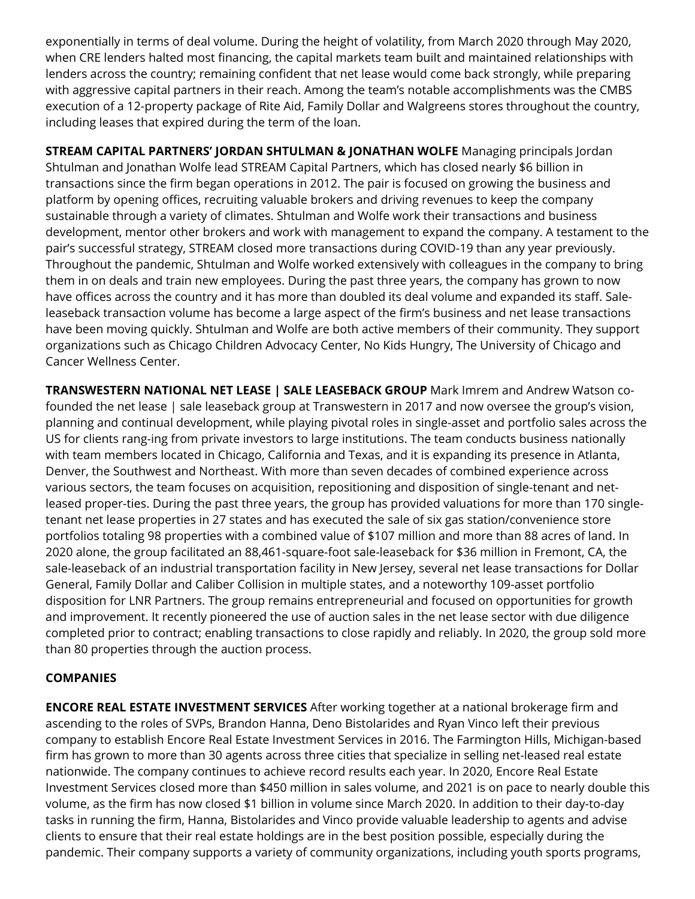exponentially in terms of deal volume. During the height of volatility, from March 2020 through May 2020, when CRE lenders halted most financing, the capital markets team built and maintained relationships with lenders across the country; remaining confident that net lease would come back strongly, while preparing with aggressive capital partners in their reach. Among the team's notable accomplishments was the CMBS execution of a 12-property package of Rite Aid, Family Dollar and Walgreens stores throughout the country, including leases that expired during the term of the loan.

**STREAM CAPITAL PARTNERS' JORDAN SHTULMAN & JONATHAN WOLFE** Managing principals Jordan Shtulman and Jonathan Wolfe lead STREAM Capital Partners, which has closed nearly \$6 billion in transactions since the firm began operations in 2012. The pair is focused on growing the business and platform by opening offices, recruiting valuable brokers and driving revenues to keep the company sustainable through a variety of climates. Shtulman and Wolfe work their transactions and business development, mentor other brokers and work with management to expand the company. A testament to the pair's successful strategy, STREAM closed more transactions during COVID-19 than any year previously. Throughout the pandemic, Shtulman and Wolfe worked extensively with colleagues in the company to bring them in on deals and train new employees. During the past three years, the company has grown to now have offices across the country and it has more than doubled its deal volume and expanded its staff. Saleleaseback transaction volume has become a large aspect of the firm's business and net lease transactions have been moving quickly. Shtulman and Wolfe are both active members of their community. They support organizations such as Chicago Children Advocacy Center, No Kids Hungry, The University of Chicago and Cancer Wellness Center.

**TRANSWESTERN NATIONAL NET LEASE | SALE LEASEBACK GROUP** Mark Imrem and Andrew Watson cofounded the net lease | sale leaseback group at Transwestern in 2017 and now oversee the group's vision, planning and continual development, while playing pivotal roles in single-asset and portfolio sales across the US for clients rang-ing from private investors to large institutions. The team conducts business nationally with team members located in Chicago, California and Texas, and it is expanding its presence in Atlanta, Denver, the Southwest and Northeast. With more than seven decades of combined experience across various sectors, the team focuses on acquisition, repositioning and disposition of single-tenant and netleased proper-ties. During the past three years, the group has provided valuations for more than 170 singletenant net lease properties in 27 states and has executed the sale of six gas station/convenience store portfolios totaling 98 properties with a combined value of \$107 million and more than 88 acres of land. In 2020 alone, the group facilitated an 88,461-square-foot sale-leaseback for \$36 million in Fremont, CA, the sale-leaseback of an industrial transportation facility in New Jersey, several net lease transactions for Dollar General, Family Dollar and Caliber Collision in multiple states, and a noteworthy 109-asset portfolio disposition for LNR Partners. The group remains entrepreneurial and focused on opportunities for growth and improvement. It recently pioneered the use of auction sales in the net lease sector with due diligence completed prior to contract; enabling transactions to close rapidly and reliably. In 2020, the group sold more than 80 properties through the auction process.

## **COMPANIES**

**ENCORE REAL ESTATE INVESTMENT SERVICES** After working together at a national brokerage firm and ascending to the roles of SVPs, Brandon Hanna, Deno Bistolarides and Ryan Vinco left their previous company to establish Encore Real Estate Investment Services in 2016. The Farmington Hills, Michigan-based firm has grown to more than 30 agents across three cities that specialize in selling net-leased real estate nationwide. The company continues to achieve record results each year. In 2020, Encore Real Estate Investment Services closed more than \$450 million in sales volume, and 2021 is on pace to nearly double this volume, as the firm has now closed \$1 billion in volume since March 2020. In addition to their day-to-day tasks in running the firm, Hanna, Bistolarides and Vinco provide valuable leadership to agents and advise clients to ensure that their real estate holdings are in the best position possible, especially during the pandemic. Their company supports a variety of community organizations, including youth sports programs,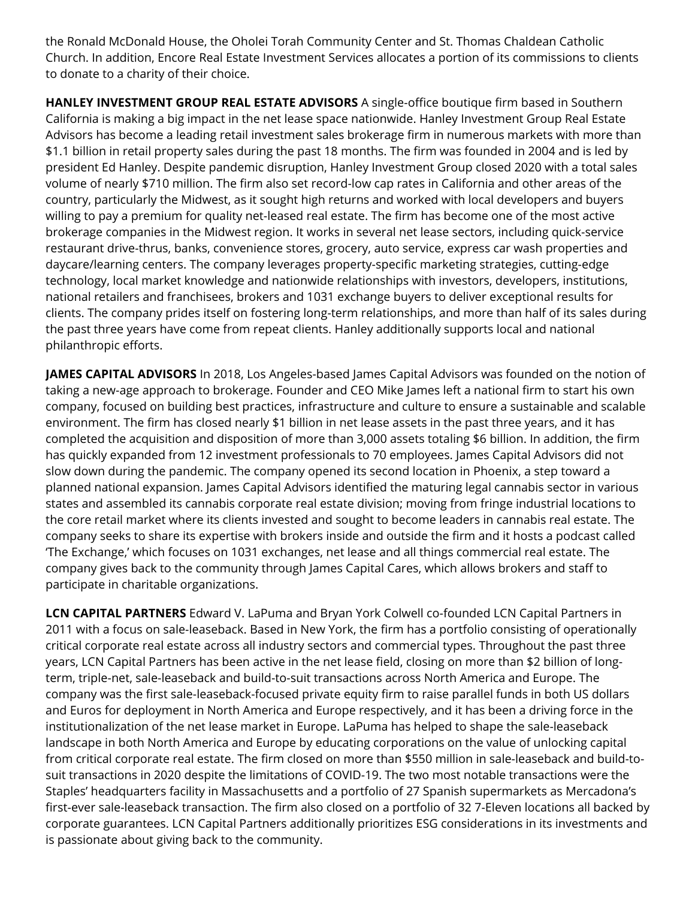the Ronald McDonald House, the Oholei Torah Community Center and St. Thomas Chaldean Catholic Church. In addition, Encore Real Estate Investment Services allocates a portion of its commissions to clients to donate to a charity of their choice.

**HANLEY INVESTMENT GROUP REAL ESTATE ADVISORS** A single-office boutique firm based in Southern California is making a big impact in the net lease space nationwide. Hanley Investment Group Real Estate Advisors has become a leading retail investment sales brokerage firm in numerous markets with more than \$1.1 billion in retail property sales during the past 18 months. The firm was founded in 2004 and is led by president Ed Hanley. Despite pandemic disruption, Hanley Investment Group closed 2020 with a total sales volume of nearly \$710 million. The firm also set record-low cap rates in California and other areas of the country, particularly the Midwest, as it sought high returns and worked with local developers and buyers willing to pay a premium for quality net-leased real estate. The firm has become one of the most active brokerage companies in the Midwest region. It works in several net lease sectors, including quick-service restaurant drive-thrus, banks, convenience stores, grocery, auto service, express car wash properties and daycare/learning centers. The company leverages property-specific marketing strategies, cutting-edge technology, local market knowledge and nationwide relationships with investors, developers, institutions, national retailers and franchisees, brokers and 1031 exchange buyers to deliver exceptional results for clients. The company prides itself on fostering long-term relationships, and more than half of its sales during the past three years have come from repeat clients. Hanley additionally supports local and national philanthropic efforts.

**JAMES CAPITAL ADVISORS** In 2018, Los Angeles-based James Capital Advisors was founded on the notion of taking a new-age approach to brokerage. Founder and CEO Mike James left a national firm to start his own company, focused on building best practices, infrastructure and culture to ensure a sustainable and scalable environment. The firm has closed nearly \$1 billion in net lease assets in the past three years, and it has completed the acquisition and disposition of more than 3,000 assets totaling \$6 billion. In addition, the firm has quickly expanded from 12 investment professionals to 70 employees. James Capital Advisors did not slow down during the pandemic. The company opened its second location in Phoenix, a step toward a planned national expansion. James Capital Advisors identified the maturing legal cannabis sector in various states and assembled its cannabis corporate real estate division; moving from fringe industrial locations to the core retail market where its clients invested and sought to become leaders in cannabis real estate. The company seeks to share its expertise with brokers inside and outside the firm and it hosts a podcast called 'The Exchange,' which focuses on 1031 exchanges, net lease and all things commercial real estate. The company gives back to the community through James Capital Cares, which allows brokers and staff to participate in charitable organizations.

**LCN CAPITAL PARTNERS** Edward V. LaPuma and Bryan York Colwell co-founded LCN Capital Partners in 2011 with a focus on sale-leaseback. Based in New York, the firm has a portfolio consisting of operationally critical corporate real estate across all industry sectors and commercial types. Throughout the past three years, LCN Capital Partners has been active in the net lease field, closing on more than \$2 billion of longterm, triple-net, sale-leaseback and build-to-suit transactions across North America and Europe. The company was the first sale-leaseback-focused private equity firm to raise parallel funds in both US dollars and Euros for deployment in North America and Europe respectively, and it has been a driving force in the institutionalization of the net lease market in Europe. LaPuma has helped to shape the sale-leaseback landscape in both North America and Europe by educating corporations on the value of unlocking capital from critical corporate real estate. The firm closed on more than \$550 million in sale-leaseback and build-tosuit transactions in 2020 despite the limitations of COVID-19. The two most notable transactions were the Staples' headquarters facility in Massachusetts and a portfolio of 27 Spanish supermarkets as Mercadona's first-ever sale-leaseback transaction. The firm also closed on a portfolio of 32 7-Eleven locations all backed by corporate guarantees. LCN Capital Partners additionally prioritizes ESG considerations in its investments and is passionate about giving back to the community.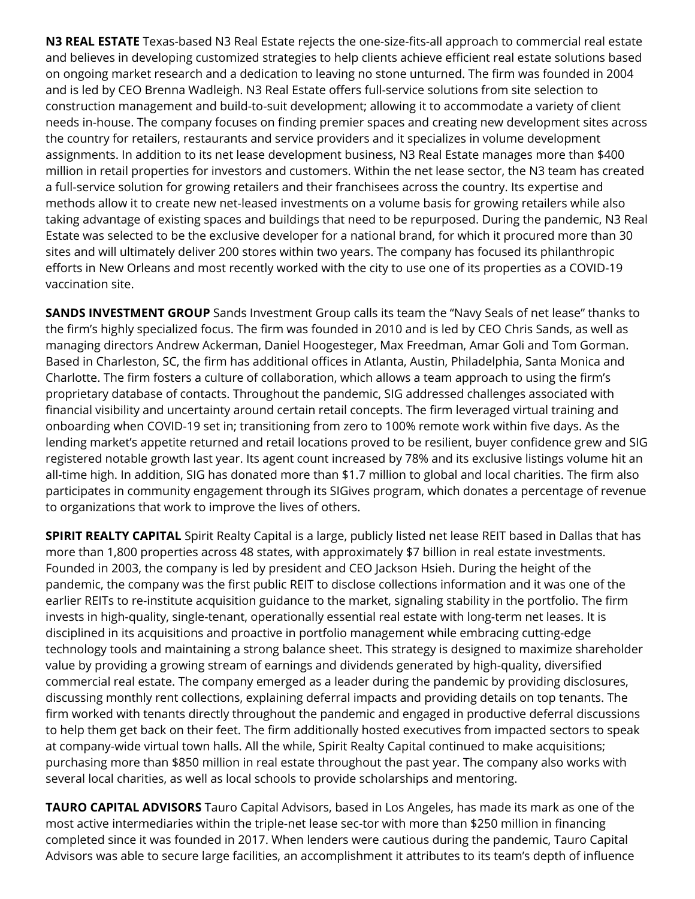**N3 REAL ESTATE** Texas-based N3 Real Estate rejects the one-size-fits-all approach to commercial real estate and believes in developing customized strategies to help clients achieve efficient real estate solutions based on ongoing market research and a dedication to leaving no stone unturned. The firm was founded in 2004 and is led by CEO Brenna Wadleigh. N3 Real Estate offers full-service solutions from site selection to construction management and build-to-suit development; allowing it to accommodate a variety of client needs in-house. The company focuses on finding premier spaces and creating new development sites across the country for retailers, restaurants and service providers and it specializes in volume development assignments. In addition to its net lease development business, N3 Real Estate manages more than \$400 million in retail properties for investors and customers. Within the net lease sector, the N3 team has created a full-service solution for growing retailers and their franchisees across the country. Its expertise and methods allow it to create new net-leased investments on a volume basis for growing retailers while also taking advantage of existing spaces and buildings that need to be repurposed. During the pandemic, N3 Real Estate was selected to be the exclusive developer for a national brand, for which it procured more than 30 sites and will ultimately deliver 200 stores within two years. The company has focused its philanthropic efforts in New Orleans and most recently worked with the city to use one of its properties as a COVID-19 vaccination site.

**SANDS INVESTMENT GROUP** Sands Investment Group calls its team the "Navy Seals of net lease" thanks to the firm's highly specialized focus. The firm was founded in 2010 and is led by CEO Chris Sands, as well as managing directors Andrew Ackerman, Daniel Hoogesteger, Max Freedman, Amar Goli and Tom Gorman. Based in Charleston, SC, the firm has additional offices in Atlanta, Austin, Philadelphia, Santa Monica and Charlotte. The firm fosters a culture of collaboration, which allows a team approach to using the firm's proprietary database of contacts. Throughout the pandemic, SIG addressed challenges associated with financial visibility and uncertainty around certain retail concepts. The firm leveraged virtual training and onboarding when COVID-19 set in; transitioning from zero to 100% remote work within five days. As the lending market's appetite returned and retail locations proved to be resilient, buyer confidence grew and SIG registered notable growth last year. Its agent count increased by 78% and its exclusive listings volume hit an all-time high. In addition, SIG has donated more than \$1.7 million to global and local charities. The firm also participates in community engagement through its SIGives program, which donates a percentage of revenue to organizations that work to improve the lives of others.

**SPIRIT REALTY CAPITAL** Spirit Realty Capital is a large, publicly listed net lease REIT based in Dallas that has more than 1,800 properties across 48 states, with approximately \$7 billion in real estate investments. Founded in 2003, the company is led by president and CEO Jackson Hsieh. During the height of the pandemic, the company was the first public REIT to disclose collections information and it was one of the earlier REITs to re-institute acquisition guidance to the market, signaling stability in the portfolio. The firm invests in high-quality, single-tenant, operationally essential real estate with long-term net leases. It is disciplined in its acquisitions and proactive in portfolio management while embracing cutting-edge technology tools and maintaining a strong balance sheet. This strategy is designed to maximize shareholder value by providing a growing stream of earnings and dividends generated by high-quality, diversified commercial real estate. The company emerged as a leader during the pandemic by providing disclosures, discussing monthly rent collections, explaining deferral impacts and providing details on top tenants. The firm worked with tenants directly throughout the pandemic and engaged in productive deferral discussions to help them get back on their feet. The firm additionally hosted executives from impacted sectors to speak at company-wide virtual town halls. All the while, Spirit Realty Capital continued to make acquisitions; purchasing more than \$850 million in real estate throughout the past year. The company also works with several local charities, as well as local schools to provide scholarships and mentoring.

**TAURO CAPITAL ADVISORS** Tauro Capital Advisors, based in Los Angeles, has made its mark as one of the most active intermediaries within the triple-net lease sec-tor with more than \$250 million in financing completed since it was founded in 2017. When lenders were cautious during the pandemic, Tauro Capital Advisors was able to secure large facilities, an accomplishment it attributes to its team's depth of influence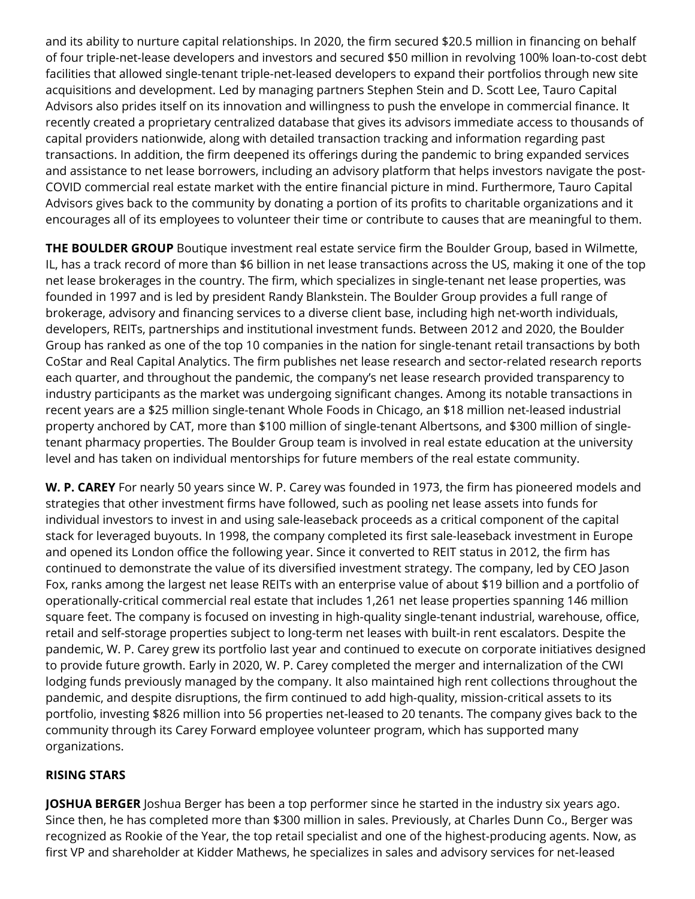and its ability to nurture capital relationships. In 2020, the firm secured \$20.5 million in financing on behalf of four triple-net-lease developers and investors and secured \$50 million in revolving 100% loan-to-cost debt facilities that allowed single-tenant triple-net-leased developers to expand their portfolios through new site acquisitions and development. Led by managing partners Stephen Stein and D. Scott Lee, Tauro Capital Advisors also prides itself on its innovation and willingness to push the envelope in commercial finance. It recently created a proprietary centralized database that gives its advisors immediate access to thousands of capital providers nationwide, along with detailed transaction tracking and information regarding past transactions. In addition, the firm deepened its offerings during the pandemic to bring expanded services and assistance to net lease borrowers, including an advisory platform that helps investors navigate the post-COVID commercial real estate market with the entire financial picture in mind. Furthermore, Tauro Capital Advisors gives back to the community by donating a portion of its profits to charitable organizations and it encourages all of its employees to volunteer their time or contribute to causes that are meaningful to them.

**THE BOULDER GROUP** Boutique investment real estate service firm the Boulder Group, based in Wilmette, IL, has a track record of more than \$6 billion in net lease transactions across the US, making it one of the top net lease brokerages in the country. The firm, which specializes in single-tenant net lease properties, was founded in 1997 and is led by president Randy Blankstein. The Boulder Group provides a full range of brokerage, advisory and financing services to a diverse client base, including high net-worth individuals, developers, REITs, partnerships and institutional investment funds. Between 2012 and 2020, the Boulder Group has ranked as one of the top 10 companies in the nation for single-tenant retail transactions by both CoStar and Real Capital Analytics. The firm publishes net lease research and sector-related research reports each quarter, and throughout the pandemic, the company's net lease research provided transparency to industry participants as the market was undergoing significant changes. Among its notable transactions in recent years are a \$25 million single-tenant Whole Foods in Chicago, an \$18 million net-leased industrial property anchored by CAT, more than \$100 million of single-tenant Albertsons, and \$300 million of singletenant pharmacy properties. The Boulder Group team is involved in real estate education at the university level and has taken on individual mentorships for future members of the real estate community.

**W. P. CAREY** For nearly 50 years since W. P. Carey was founded in 1973, the firm has pioneered models and strategies that other investment firms have followed, such as pooling net lease assets into funds for individual investors to invest in and using sale-leaseback proceeds as a critical component of the capital stack for leveraged buyouts. In 1998, the company completed its first sale-leaseback investment in Europe and opened its London office the following year. Since it converted to REIT status in 2012, the firm has continued to demonstrate the value of its diversified investment strategy. The company, led by CEO Jason Fox, ranks among the largest net lease REITs with an enterprise value of about \$19 billion and a portfolio of operationally-critical commercial real estate that includes 1,261 net lease properties spanning 146 million square feet. The company is focused on investing in high-quality single-tenant industrial, warehouse, office, retail and self-storage properties subject to long-term net leases with built-in rent escalators. Despite the pandemic, W. P. Carey grew its portfolio last year and continued to execute on corporate initiatives designed to provide future growth. Early in 2020, W. P. Carey completed the merger and internalization of the CWI lodging funds previously managed by the company. It also maintained high rent collections throughout the pandemic, and despite disruptions, the firm continued to add high-quality, mission-critical assets to its portfolio, investing \$826 million into 56 properties net-leased to 20 tenants. The company gives back to the community through its Carey Forward employee volunteer program, which has supported many organizations.

## **RISING STARS**

**JOSHUA BERGER** Joshua Berger has been a top performer since he started in the industry six years ago. Since then, he has completed more than \$300 million in sales. Previously, at Charles Dunn Co., Berger was recognized as Rookie of the Year, the top retail specialist and one of the highest-producing agents. Now, as first VP and shareholder at Kidder Mathews, he specializes in sales and advisory services for net-leased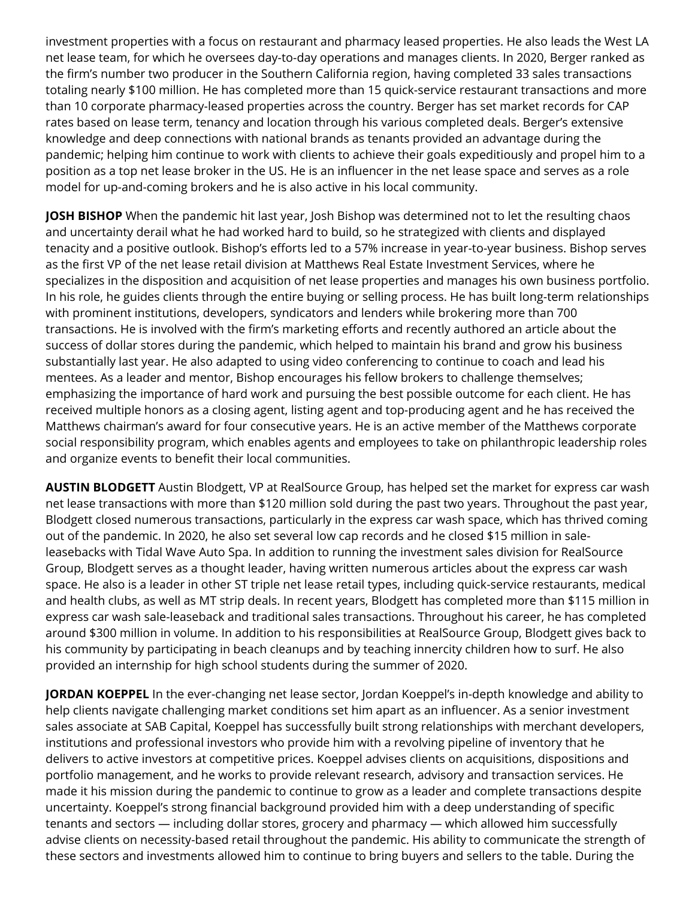investment properties with a focus on restaurant and pharmacy leased properties. He also leads the West LA net lease team, for which he oversees day-to-day operations and manages clients. In 2020, Berger ranked as the firm's number two producer in the Southern California region, having completed 33 sales transactions totaling nearly \$100 million. He has completed more than 15 quick-service restaurant transactions and more than 10 corporate pharmacy-leased properties across the country. Berger has set market records for CAP rates based on lease term, tenancy and location through his various completed deals. Berger's extensive knowledge and deep connections with national brands as tenants provided an advantage during the pandemic; helping him continue to work with clients to achieve their goals expeditiously and propel him to a position as a top net lease broker in the US. He is an influencer in the net lease space and serves as a role model for up-and-coming brokers and he is also active in his local community.

**JOSH BISHOP** When the pandemic hit last year, Josh Bishop was determined not to let the resulting chaos and uncertainty derail what he had worked hard to build, so he strategized with clients and displayed tenacity and a positive outlook. Bishop's efforts led to a 57% increase in year-to-year business. Bishop serves as the first VP of the net lease retail division at Matthews Real Estate Investment Services, where he specializes in the disposition and acquisition of net lease properties and manages his own business portfolio. In his role, he guides clients through the entire buying or selling process. He has built long-term relationships with prominent institutions, developers, syndicators and lenders while brokering more than 700 transactions. He is involved with the firm's marketing efforts and recently authored an article about the success of dollar stores during the pandemic, which helped to maintain his brand and grow his business substantially last year. He also adapted to using video conferencing to continue to coach and lead his mentees. As a leader and mentor, Bishop encourages his fellow brokers to challenge themselves; emphasizing the importance of hard work and pursuing the best possible outcome for each client. He has received multiple honors as a closing agent, listing agent and top-producing agent and he has received the Matthews chairman's award for four consecutive years. He is an active member of the Matthews corporate social responsibility program, which enables agents and employees to take on philanthropic leadership roles and organize events to benefit their local communities.

**AUSTIN BLODGETT** Austin Blodgett, VP at RealSource Group, has helped set the market for express car wash net lease transactions with more than \$120 million sold during the past two years. Throughout the past year, Blodgett closed numerous transactions, particularly in the express car wash space, which has thrived coming out of the pandemic. In 2020, he also set several low cap records and he closed \$15 million in saleleasebacks with Tidal Wave Auto Spa. In addition to running the investment sales division for RealSource Group, Blodgett serves as a thought leader, having written numerous articles about the express car wash space. He also is a leader in other ST triple net lease retail types, including quick-service restaurants, medical and health clubs, as well as MT strip deals. In recent years, Blodgett has completed more than \$115 million in express car wash sale-leaseback and traditional sales transactions. Throughout his career, he has completed around \$300 million in volume. In addition to his responsibilities at RealSource Group, Blodgett gives back to his community by participating in beach cleanups and by teaching innercity children how to surf. He also provided an internship for high school students during the summer of 2020.

**JORDAN KOEPPEL** In the ever-changing net lease sector, Jordan Koeppel's in-depth knowledge and ability to help clients navigate challenging market conditions set him apart as an influencer. As a senior investment sales associate at SAB Capital, Koeppel has successfully built strong relationships with merchant developers, institutions and professional investors who provide him with a revolving pipeline of inventory that he delivers to active investors at competitive prices. Koeppel advises clients on acquisitions, dispositions and portfolio management, and he works to provide relevant research, advisory and transaction services. He made it his mission during the pandemic to continue to grow as a leader and complete transactions despite uncertainty. Koeppel's strong financial background provided him with a deep understanding of specific tenants and sectors — including dollar stores, grocery and pharmacy — which allowed him successfully advise clients on necessity-based retail throughout the pandemic. His ability to communicate the strength of these sectors and investments allowed him to continue to bring buyers and sellers to the table. During the